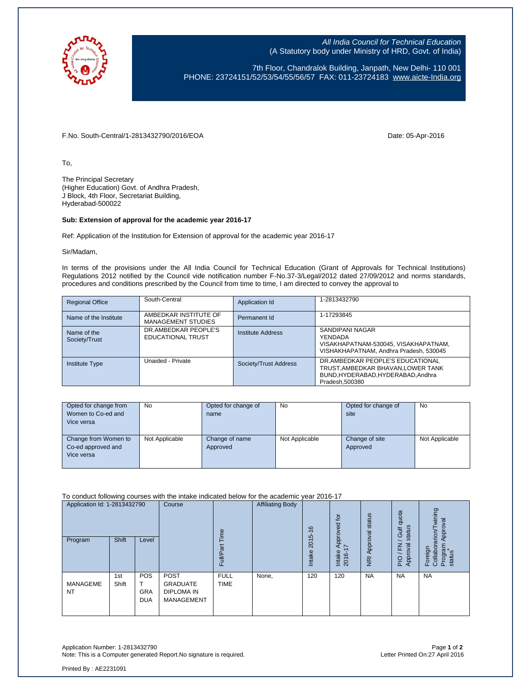

All India Council for Technical Education (A Statutory body under Ministry of HRD, Govt. of India)

7th Floor, Chandralok Building, Janpath, New Delhi- 110 001 PHONE: 23724151/52/53/54/55/56/57 FAX: 011-23724183 [www.aicte-India.org](http://www.aicte-india.org/)

F.No. South-Central/1-2813432790/2016/EOA Date: 05-Apr-2016

To,

The Principal Secretary (Higher Education) Govt. of Andhra Pradesh, J Block, 4th Floor, Secretariat Building, Hyderabad-500022

## **Sub: Extension of approval for the academic year 2016-17**

Ref: Application of the Institution for Extension of approval for the academic year 2016-17

Sir/Madam,

In terms of the provisions under the All India Council for Technical Education (Grant of Approvals for Technical Institutions) Regulations 2012 notified by the Council vide notification number F-No.37-3/Legal/2012 dated 27/09/2012 and norms standards, procedures and conditions prescribed by the Council from time to time, I am directed to convey the approval to

| <b>Regional Office</b>       | South-Central                                      | Application Id        | 1-2813432790                                                                                                                   |
|------------------------------|----------------------------------------------------|-----------------------|--------------------------------------------------------------------------------------------------------------------------------|
| Name of the Institute        | AMBEDKAR INSTITUTE OF<br><b>MANAGEMENT STUDIES</b> | Permanent Id          | 1-17293845                                                                                                                     |
| Name of the<br>Society/Trust | DR.AMBEDKAR PEOPLE'S<br>EDUCATIONAL TRUST          | Institute Address     | SANDIPANI NAGAR<br>YENDADA<br>VISAKHAPATNAM-530045, VISAKHAPATNAM,<br>VISHAKHAPATNAM, Andhra Pradesh, 530045                   |
| Institute Type               | Unaided - Private                                  | Society/Trust Address | DR.AMBEDKAR PEOPLE'S EDUCATIONAL<br>TRUST, AMBEDKAR BHAVAN, LOWER TANK<br>BUND, HYDERABAD, HYDERABAD, Andhra<br>Pradesh.500380 |

| Opted for change from | <b>No</b>      | Opted for change of | No             | Opted for change of | <b>No</b>      |
|-----------------------|----------------|---------------------|----------------|---------------------|----------------|
| Women to Co-ed and    |                | name                |                | site                |                |
| Vice versa            |                |                     |                |                     |                |
|                       |                |                     |                |                     |                |
| Change from Women to  | Not Applicable | Change of name      | Not Applicable | Change of site      | Not Applicable |
| Co-ed approved and    |                | Approved            |                | Approved            |                |
| Vice versa            |                |                     |                |                     |                |
|                       |                |                     |                |                     |                |

To conduct following courses with the intake indicated below for the academic year 2016-17

| Application Id: 1-2813432790<br>Program | Shift        | Level                           | Course                                                                   | Time<br>ౚ<br>Full          | <b>Affiliating Body</b> | $\frac{6}{5}$<br>2015<br>Intake | tor<br>Approved<br>I7<br>Intake<br>2016- | status<br>NRI Approval | quota<br>status<br>Gulf<br>준<br>ख़<br>Approv<br>PIO | wining<br>Approval<br>rarion/<br>Program<br>Foreign<br>Collabor:<br>status |
|-----------------------------------------|--------------|---------------------------------|--------------------------------------------------------------------------|----------------------------|-------------------------|---------------------------------|------------------------------------------|------------------------|-----------------------------------------------------|----------------------------------------------------------------------------|
| <b>MANAGEME</b><br><b>NT</b>            | 1st<br>Shift | <b>POS</b><br>GRA<br><b>DUA</b> | <b>POST</b><br><b>GRADUATE</b><br><b>DIPLOMA IN</b><br><b>MANAGEMENT</b> | <b>FULL</b><br><b>TIME</b> | None,                   | 120                             | 120                                      | <b>NA</b>              | <b>NA</b>                                           | <b>NA</b>                                                                  |

Application Number: 1-2813432790 Page **1** of **2** Note: This is a Computer generated Report.No signature is required.